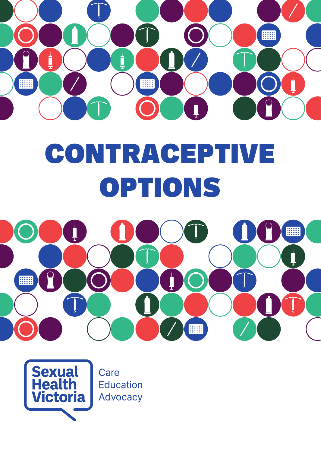

# **CONTRACEPTIVE OPTIONS**



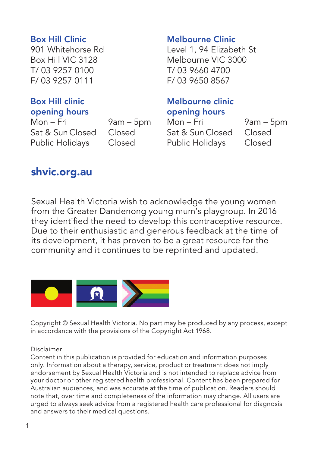#### Box Hill Clinic

901 Whitehorse Rd Box Hill VIC 3128 T/ 03 9257 0100 F/ 03 9257 0111

#### Box Hill clinic opening hours

Mon – Fri 9am – 5pm Sat & Sun Closed Closed<br>Public Holidays Closed **Public Holidays** 

#### Melbourne Clinic

Level 1, 94 Elizabeth St Melbourne VIC 3000 T/ 03 9660 4700 F/ 03 9650 8567

#### Melbourne clinic opening hours

Mon – Fri 9am – 5pm Sat & Sun Closed Closed<br>Public Holidays Closed Public Holidays

#### [shvic.org.au](http://shvic.org.au)

Sexual Health Victoria wish to acknowledge the young women from the Greater Dandenong young mum's playgroup. In 2016 they identified the need to develop this contraceptive resource. Due to their enthusiastic and generous feedback at the time of its development, it has proven to be a great resource for the community and it continues to be reprinted and updated.



Copyright © Sexual Health Victoria. No part may be produced by any process, except in accordance with the provisions of the Copyright Act 1968.

#### Disclaimer

Content in this publication is provided for education and information purposes only. Information about a therapy, service, product or treatment does not imply endorsement by Sexual Health Victoria and is not intended to replace advice from your doctor or other registered health professional. Content has been prepared for Australian audiences, and was accurate at the time of publication. Readers should note that, over time and completeness of the information may change. All users are urged to always seek advice from a registered health care professional for diagnosis and answers to their medical questions.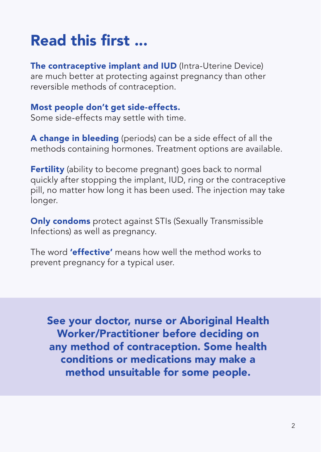# Read this first ...

The contraceptive implant and IUD (Intra-Uterine Device) are much better at protecting against pregnancy than other reversible methods of contraception.

#### Most people don't get side-effects.

Some side-effects may settle with time.

A change in bleeding (periods) can be a side effect of all the methods containing hormones. Treatment options are available.

Fertility (ability to become pregnant) goes back to normal quickly after stopping the implant, IUD, ring or the contraceptive pill, no matter how long it has been used. The injection may take longer.

Only condoms protect against STIs (Sexually Transmissible Infections) as well as pregnancy.

The word **'effective'** means how well the method works to prevent pregnancy for a typical user.

See your doctor, nurse or Aboriginal Health Worker/Practitioner before deciding on any method of contraception. Some health conditions or medications may make a method unsuitable for some people.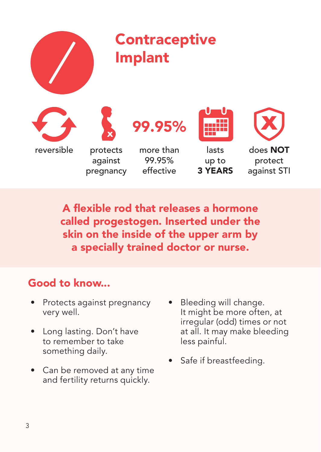

A flexible rod that releases a hormone called progestogen. Inserted under the skin on the inside of the upper arm by a specially trained doctor or nurse.

- Protects against pregnancy very well.
- Long lasting. Don't have to remember to take something daily.
- Can be removed at any time and fertility returns quickly.
- Bleeding will change. It might be more often, at irregular (odd) times or not at all. It may make bleeding less painful.
- Safe if breastfeeding.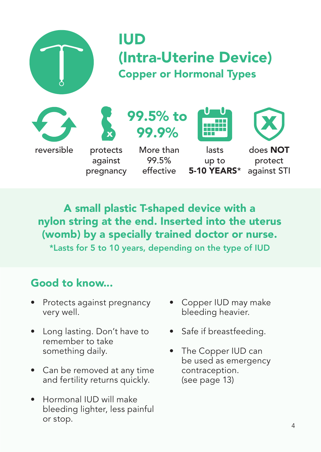

# (Intra-Uterine Device) Copper or Hormonal Types





against pregnancy



More than 99.5% effective



lasts up to 5-10 YEARS\*



does NOT protect against STI

A small plastic T-shaped device with a nylon string at the end. Inserted into the uterus (womb) by a specially trained doctor or nurse. \*Lasts for 5 to 10 years, depending on the type of IUD

- Protects against pregnancy very well.
- Long lasting. Don't have to remember to take something daily.
- Can be removed at any time and fertility returns quickly.
- Hormonal IUD will make bleeding lighter, less painful or stop.
- Copper IUD may make bleeding heavier.
- Safe if breastfeeding.
- The Copper IUD can be used as emergency contraception. (see page 13)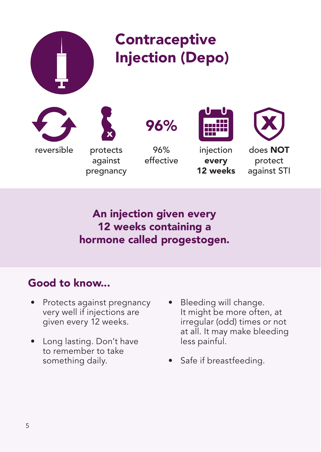

An injection given every 12 weeks containing a hormone called progestogen.

- Protects against pregnancy very well if injections are given every 12 weeks.
- Long lasting. Don't have to remember to take something daily.
- Bleeding will change. It might be more often, at irregular (odd) times or not at all. It may make bleeding less painful.
- Safe if breastfeeding.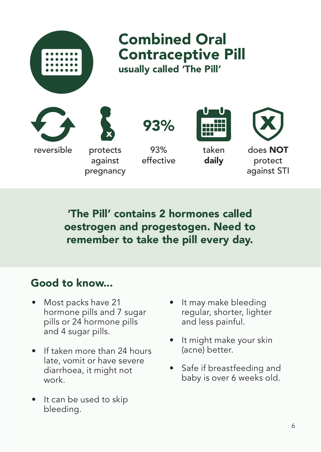

'The Pill' contains 2 hormones called oestrogen and progestogen. Need to remember to take the pill every day.

- Most packs have 21 hormone pills and 7 sugar pills or 24 hormone pills and 4 sugar pills.
- If taken more than 24 hours late, vomit or have severe diarrhoea, it might not work.
- It can be used to skip bleeding.
- It may make bleeding regular, shorter, lighter and less painful.
- It might make your skin (acne) better.
- Safe if breastfeeding and baby is over 6 weeks old.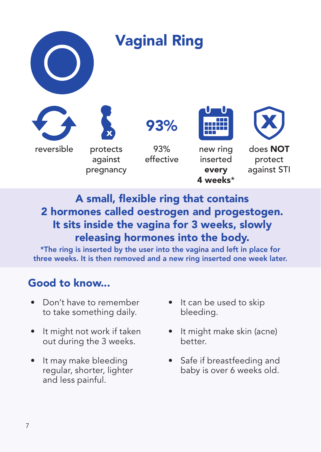

## A small, flexible ring that contains 2 hormones called oestrogen and progestogen. It sits inside the vagina for 3 weeks, slowly releasing hormones into the body.

\*The ring is inserted by the user into the vagina and left in place for three weeks. It is then removed and a new ring inserted one week later.

- Don't have to remember to take something daily.
- It might not work if taken out during the 3 weeks.
- It may make bleeding regular, shorter, lighter and less painful.
- It can be used to skip bleeding.
- It might make skin (acne) better.
- Safe if breastfeeding and baby is over 6 weeks old.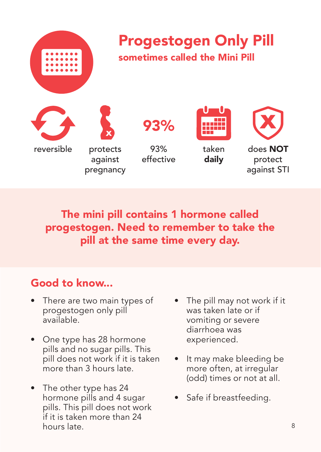

The mini pill contains 1 hormone called progestogen. Need to remember to take the pill at the same time every day.

- There are two main types of progestogen only pill available.
- One type has 28 hormone pills and no sugar pills. This pill does not work if it is taken more than 3 hours late.
- The other type has 24 hormone pills and 4 sugar pills. This pill does not work if it is taken more than 24 hours late.
- The pill may not work if it was taken late or if vomiting or severe diarrhoea was experienced.
- It may make bleeding be more often, at irregular (odd) times or not at all.
- Safe if breastfeeding.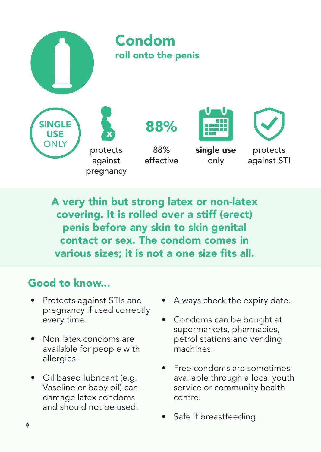

A very thin but strong latex or non-latex covering. It is rolled over a stiff (erect) penis before any skin to skin genital contact or sex. The condom comes in various sizes; it is not a one size fits all.

- Protects against STIs and pregnancy if used correctly every time.
- Non latex condoms are available for people with allergies.
- Oil based lubricant (e.g. Vaseline or baby oil) can damage latex condoms and should not be used.
- Always check the expiry date.
- Condoms can be bought at supermarkets, pharmacies, petrol stations and vending machines.
- Free condoms are sometimes available through a local youth service or community health centre.
- Safe if breastfeeding.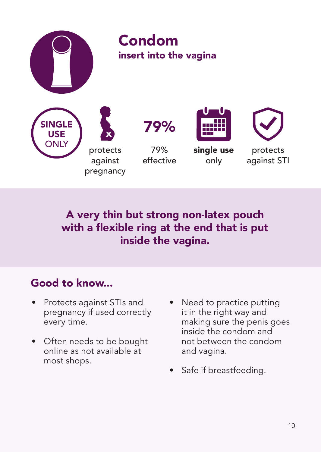

## A very thin but strong non-latex pouch with a flexible ring at the end that is put inside the vagina.

- Protects against STIs and pregnancy if used correctly every time.
- Often needs to be bought online as not available at most shops.
- Need to practice putting it in the right way and making sure the penis goes inside the condom and not between the condom and vagina.
- Safe if breastfeeding.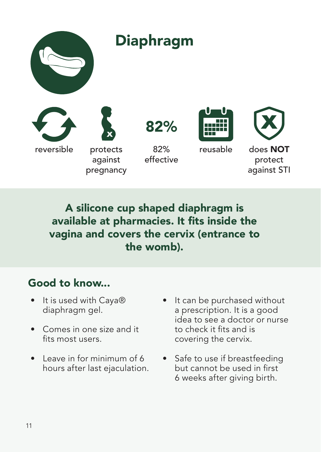

A silicone cup shaped diaphragm is available at pharmacies. It fits inside the vagina and covers the cervix (entrance to the womb).

- It is used with Caya® diaphragm gel.
- Comes in one size and it fits most users.
- Leave in for minimum of 6 hours after last ejaculation.
- It can be purchased without a prescription. It is a good idea to see a doctor or nurse to check it fits and is covering the cervix.
- Safe to use if breastfeeding but cannot be used in first 6 weeks after giving birth.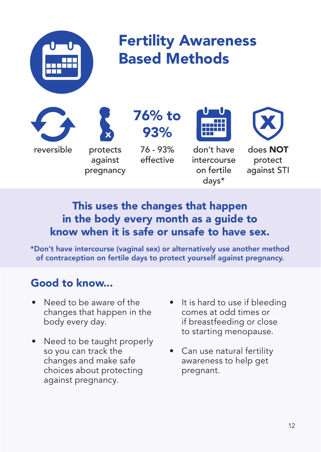

# Fertility Awareness Based Methods

reversible protects

against pregnancy 76% to 93%

> 76 - 93% effective



don't have intercourse on fertile days\*



does NOT protect against STI

## This uses the changes that happen in the body every month as a guide to know when it is safe or unsafe to have sex.

\*Don't have intercourse (vaginal sex) or alternatively use another method of contraception on fertile days to protect yourself against pregnancy.

- Need to be aware of the changes that happen in the body every day.
- Need to be taught properly so you can track the changes and make safe choices about protecting against pregnancy.
- It is hard to use if bleeding comes at odd times or if breastfeeding or close to starting menopause.
- Can use natural fertility awareness to help get pregnant.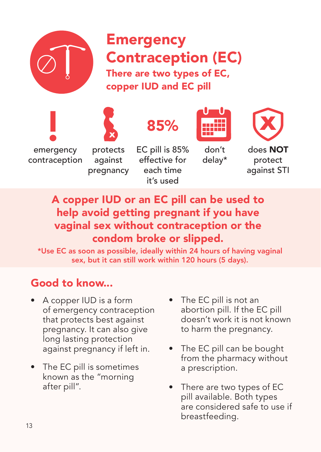

emergency contraception

# **Emergency** Contraception (EC) There are two types of EC, copper IUD and EC pill



against pregnancy



EC pill is 85% effective for each time it's used



don't delay\*



does NOT protect against STI

### A copper IUD or an EC pill can be used to help avoid getting pregnant if you have vaginal sex without contraception or the condom broke or slipped.

\*Use EC as soon as possible, ideally within 24 hours of having vaginal sex, but it can still work within 120 hours (5 days).

- A copper IUD is a form of emergency contraception that protects best against pregnancy. It can also give long lasting protection against pregnancy if left in.
- The EC pill is sometimes known as the "morning after pill".
- The EC pill is not an abortion pill. If the EC pill doesn't work it is not known to harm the pregnancy.
- The EC pill can be bought from the pharmacy without a prescription.
- There are two types of EC pill available. Both types are considered safe to use if breastfeeding.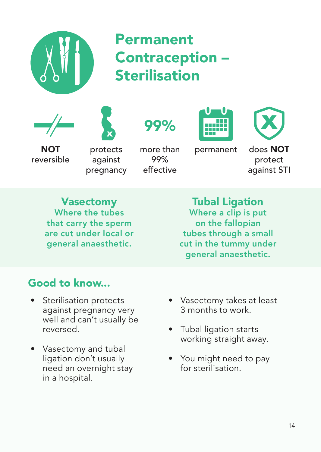

# Permanent Contraception – **Sterilisation**











NOT reversible

protects against pregnancy

more than 99% effective

permanent

does NOT protect against STI

Vasectomy Where the tubes that carry the sperm are cut under local or general anaesthetic.

Tubal Ligation Where a clip is put on the fallopian tubes through a small cut in the tummy under general anaesthetic.

- Sterilisation protects against pregnancy very well and can't usually be reversed.
- Vasectomy and tubal ligation don't usually need an overnight stay in a hospital.
- Vasectomy takes at least 3 months to work.
- Tubal ligation starts working straight away.
- You might need to pay for sterilisation.